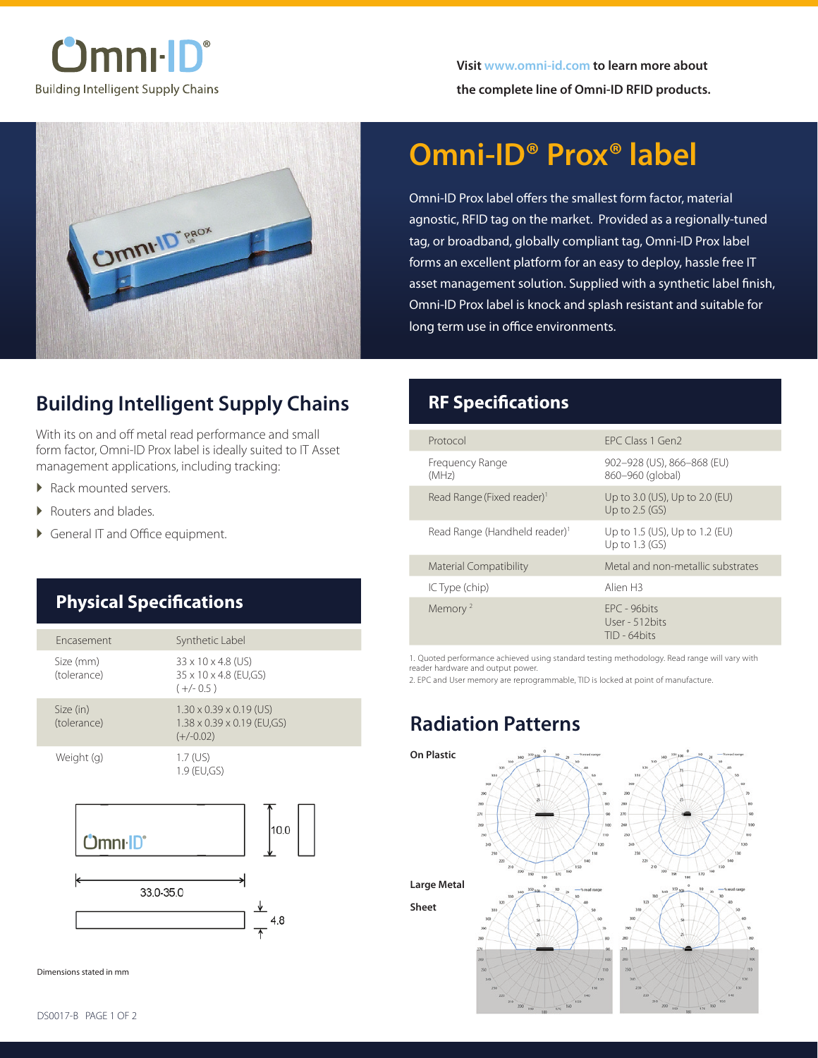



# **Omni-ID® Prox® label**

Omni-ID Prox label offers the smallest form factor, material agnostic, RFID tag on the market. Provided as a regionally-tuned tag, or broadband, globally compliant tag, Omni-ID Prox label forms an excellent platform for an easy to deploy, hassle free IT asset management solution. Supplied with a synthetic label finish, Omni-ID Prox label is knock and splash resistant and suitable for long term use in office environments.

### **Building Intelligent Supply Chains**

With its on and off metal read performance and small form factor, Omni-ID Prox label is ideally suited to IT Asset management applications, including tracking:

- ▶ Rack mounted servers.
- ▶ Routers and blades.
- � General IT and Office equipment.

### **Physical Specifications**

| Encasement               | Synthetic Label                                                                              |
|--------------------------|----------------------------------------------------------------------------------------------|
| Size (mm)<br>(tolerance) | 33 x 10 x 4.8 (US)<br>35 x 10 x 4.8 (EU,GS)<br>$(+/- 0.5)$                                   |
| Size (in)<br>(tolerance) | $1.30 \times 0.39 \times 0.19$ (US)<br>$1.38 \times 0.39 \times 0.19$ (EU,GS)<br>$(+/-0.02)$ |
| Weight (g)<br>nı·ID'     | $1.7$ (US)<br>1.9 (EU,GS)<br>10.0                                                            |
| 33 U 35 U                |                                                                                              |

33.0-35.0  $4.8$ 

Dimensions stated in mm

#### **RF Specifications**

| Protocol                                  | FPC Class 1 Gen2                                   |
|-------------------------------------------|----------------------------------------------------|
| Frequency Range<br>(MHz)                  | 902-928 (US), 866-868 (EU)<br>860-960 (global)     |
| Read Range (Fixed reader) <sup>1</sup>    | Up to 3.0 (US), Up to 2.0 (EU)<br>Up to $2.5$ (GS) |
| Read Range (Handheld reader) <sup>1</sup> | Up to 1.5 (US), Up to 1.2 (EU)<br>Up to $1.3$ (GS) |
| <b>Material Compatibility</b>             | Metal and non-metallic substrates                  |
| IC Type (chip)                            | Alien H3                                           |
| Memory <sup>2</sup>                       | FPC - 96bits<br>User - 512 bits<br>$TID - 64bits$  |

1. Quoted performance achieved using standard testing methodology. Read range will vary with reader hardware and output power.

2. EPC and User memory are reprogrammable, TID is locked at point of manufacture.

### **Radiation Patterns**